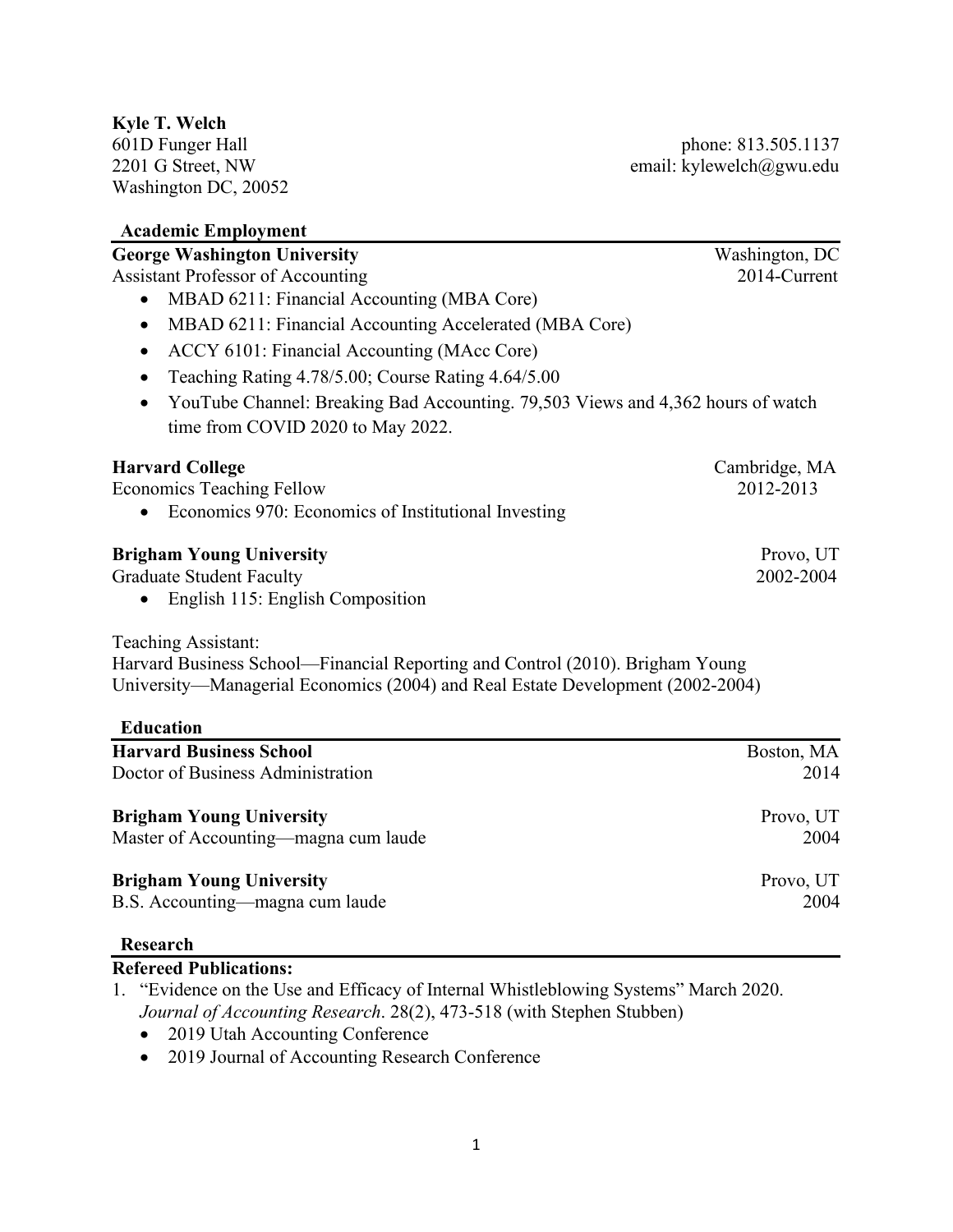601D Funger Hall phone: 813.505.1137 2201 G Street, NW email: kylewelch@gwu.edu

| ramatinit Linpiojintiit                                                                                                                                                                                                                                                         |                |
|---------------------------------------------------------------------------------------------------------------------------------------------------------------------------------------------------------------------------------------------------------------------------------|----------------|
| <b>George Washington University</b>                                                                                                                                                                                                                                             | Washington, DC |
| <b>Assistant Professor of Accounting</b><br>MBAD 6211: Financial Accounting (MBA Core)<br>MBAD 6211: Financial Accounting Accelerated (MBA Core)<br>$\bullet$<br>ACCY 6101: Financial Accounting (MAcc Core)<br>$\bullet$<br>Teaching Rating 4.78/5.00; Course Rating 4.64/5.00 | 2014-Current   |
|                                                                                                                                                                                                                                                                                 |                |
|                                                                                                                                                                                                                                                                                 |                |
|                                                                                                                                                                                                                                                                                 |                |
|                                                                                                                                                                                                                                                                                 |                |
| YouTube Channel: Breaking Bad Accounting. 79,503 Views and 4,362 hours of watch                                                                                                                                                                                                 |                |
| time from COVID 2020 to May 2022.                                                                                                                                                                                                                                               |                |
| <b>Harvard College</b>                                                                                                                                                                                                                                                          | Cambridge, MA  |
| <b>Economics Teaching Fellow</b>                                                                                                                                                                                                                                                | 2012-2013      |
| Economics 970: Economics of Institutional Investing                                                                                                                                                                                                                             |                |
| <b>Brigham Young University</b>                                                                                                                                                                                                                                                 | Provo, UT      |
| <b>Graduate Student Faculty</b>                                                                                                                                                                                                                                                 | 2002-2004      |
| English 115: English Composition                                                                                                                                                                                                                                                |                |
| <b>Teaching Assistant:</b>                                                                                                                                                                                                                                                      |                |
| Harvard Business School—Financial Reporting and Control (2010). Brigham Young                                                                                                                                                                                                   |                |
| University—Managerial Economics (2004) and Real Estate Development (2002-2004)                                                                                                                                                                                                  |                |
| <b>Education</b>                                                                                                                                                                                                                                                                |                |
| <b>Harvard Business School</b>                                                                                                                                                                                                                                                  | Boston, MA     |
| Doctor of Business Administration                                                                                                                                                                                                                                               | 2014           |
| <b>Brigham Young University</b>                                                                                                                                                                                                                                                 | Provo, UT      |
| Master of Accounting—magna cum laude                                                                                                                                                                                                                                            | 2004           |
| <b>Brigham Young University</b>                                                                                                                                                                                                                                                 | Provo, UT      |
| B.S. Accounting—magna cum laude                                                                                                                                                                                                                                                 | 2004           |
|                                                                                                                                                                                                                                                                                 |                |

#### **Research**

# **Refereed Publications:**

- 1. "Evidence on the Use and Efficacy of Internal Whistleblowing Systems" March 2020. *Journal of Accounting Research*. 28(2), 473-518 (with Stephen Stubben)
	- 2019 Utah Accounting Conference
	- 2019 Journal of Accounting Research Conference

# **Kyle T. Welch**

Washington DC, 20052

# **Academic Employment**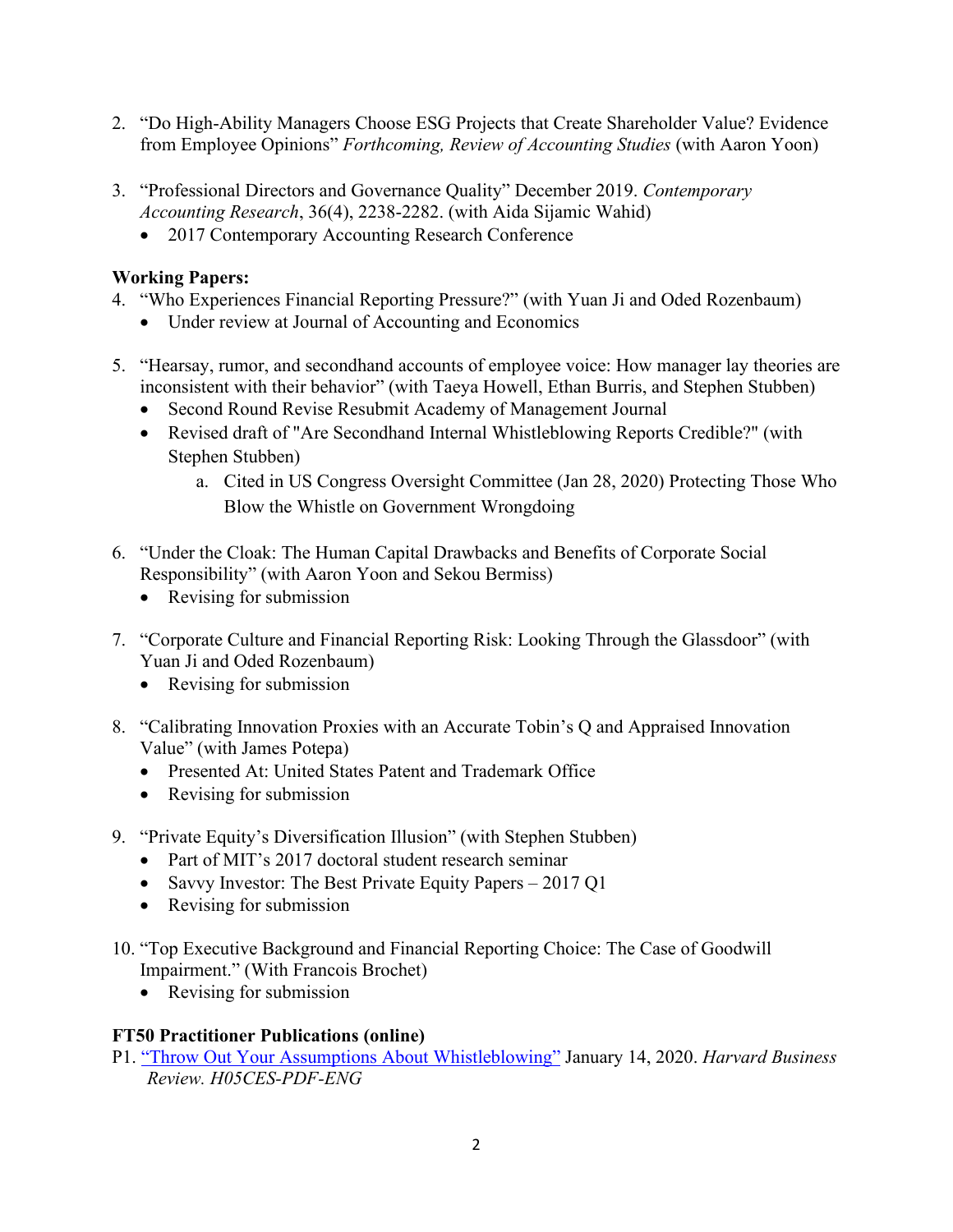- 2. "Do High-Ability Managers Choose ESG Projects that Create Shareholder Value? Evidence from Employee Opinions" *Forthcoming, Review of Accounting Studies* (with Aaron Yoon)
- 3. "Professional Directors and Governance Quality" December 2019. *Contemporary Accounting Research*, 36(4), 2238-2282. (with Aida Sijamic Wahid)
	- 2017 Contemporary Accounting Research Conference

#### **Working Papers:**

- 4. "Who Experiences Financial Reporting Pressure?" (with Yuan Ji and Oded Rozenbaum)
	- Under review at Journal of Accounting and Economics
- 5. "Hearsay, rumor, and secondhand accounts of employee voice: How manager lay theories are inconsistent with their behavior" (with Taeya Howell, Ethan Burris, and Stephen Stubben)
	- Second Round Revise Resubmit Academy of Management Journal
	- Revised draft of "Are Secondhand Internal Whistleblowing Reports Credible?" (with Stephen Stubben)
		- a. Cited in US Congress Oversight Committee (Jan 28, 2020) Protecting Those Who Blow the Whistle on Government Wrongdoing
- 6. "Under the Cloak: The Human Capital Drawbacks and Benefits of Corporate Social Responsibility" (with Aaron Yoon and Sekou Bermiss)
	- Revising for submission
- 7. "Corporate Culture and Financial Reporting Risk: Looking Through the Glassdoor" (with Yuan Ji and Oded Rozenbaum)
	- Revising for submission
- 8. "Calibrating Innovation Proxies with an Accurate Tobin's Q and Appraised Innovation Value" (with James Potepa)
	- Presented At: United States Patent and Trademark Office
	- Revising for submission
- 9. "Private Equity's Diversification Illusion" (with Stephen Stubben)
	- Part of MIT's 2017 doctoral student research seminar
	- Savvy Investor: The Best Private Equity Papers 2017 Q1
	- Revising for submission
- 10. "Top Executive Background and Financial Reporting Choice: The Case of Goodwill Impairment." (With Francois Brochet)
	- Revising for submission

#### **FT50 Practitioner Publications (online)**

P1. ["Throw Out Your Assumptions About Whistleblowing"](https://store.hbr.org/product/throw-out-your-assumptions-about-whistleblowing/H05CES) January 14, 2020. *Harvard Business Review. H05CES-PDF-ENG*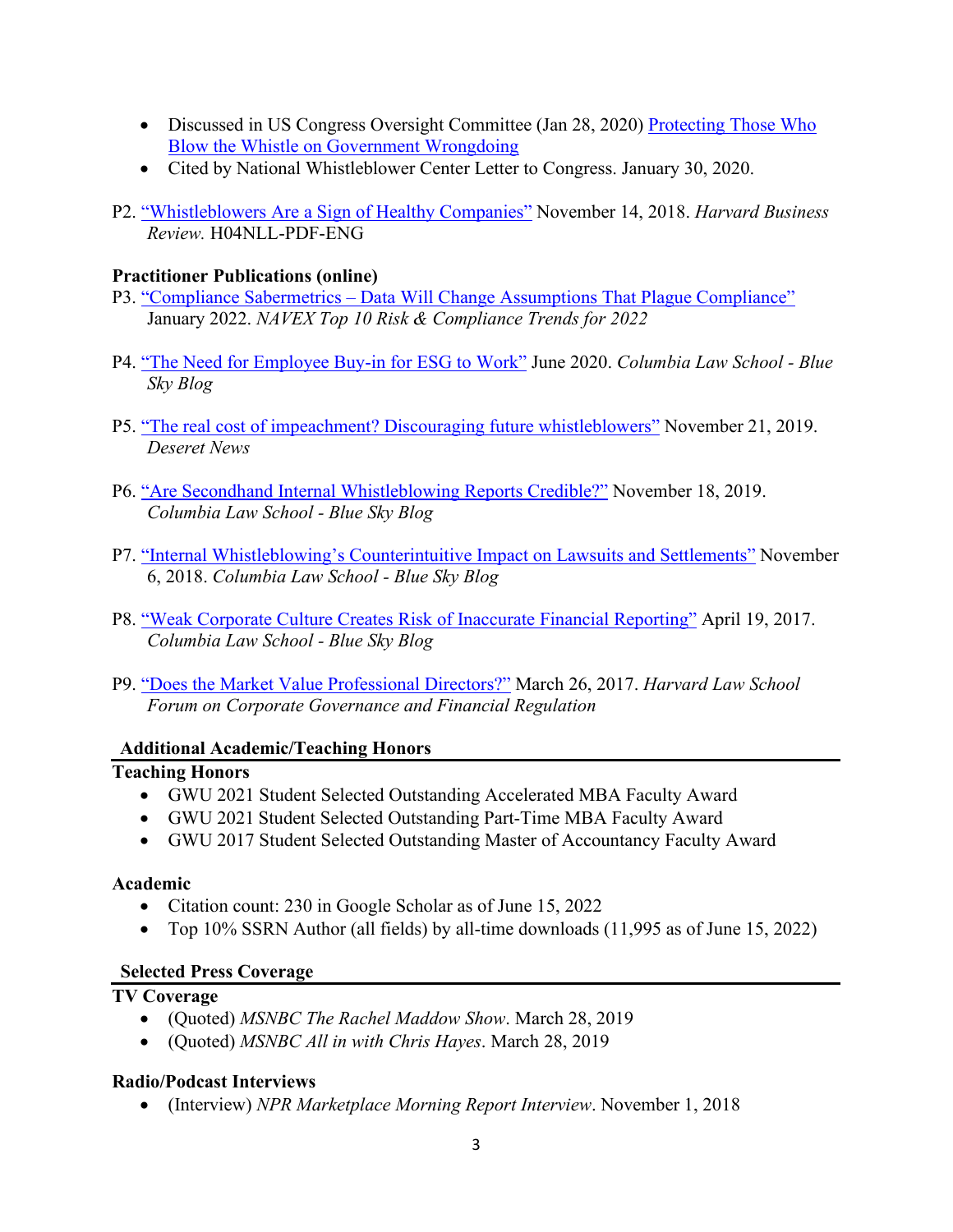- Discussed in US Congress Oversight Committee (Jan 28, 2020) Protecting Those Who [Blow the Whistle on Government Wrongdoing](https://www.youtube.com/watch?v=ce467zMe5qA&t=3569s)
- Cited by National Whistleblower Center Letter to Congress. January 30, 2020.
- P2. ["Whistleblowers Are a Sign of Healthy Companies"](https://store.hbr.org/product/research-whistleblowers-are-a-sign-of-healthy-companies/H04NLL) November 14, 2018. *Harvard Business Review.* H04NLL-PDF-ENG

### **Practitioner Publications (online)**

- P3. "Compliance Sabermetrics [Data Will Change Assumptions That Plague Compliance"](https://www.navex.com/en-us/campaigns/2022-top-10-trends-risk-compliance-ebook/) January 2022. *NAVEX Top 10 Risk & Compliance Trends for 2022*
- P4. ["The Need for Employee Buy-in for ESG to Work"](https://clsbluesky.law.columbia.edu/2020/06/18/the-need-for-employee-buy-in-for-esg-to-work/) June 2020. *Columbia Law School - Blue Sky Blog*
- P5. ["The real cost of impeachment? Discouraging future whistleblowers"](https://www.deseret.com/opinion/2019/11/21/20976044/guest-opinion-the-real-cost-of-impeachment-discouraging-future-whistleblowers) November 21, 2019. *Deseret News*
- P6. ["Are Secondhand Internal Whistleblowing Reports Credible?"](https://clsbluesky.law.columbia.edu/2019/11/18/are-secondhand-internal-whistleblowing-reports-credible/) November 18, 2019. *Columbia Law School - Blue Sky Blog*
- P7. ["Internal Whistleblowing's Counterintuitive Impact on Lawsuits and Settlements"](https://clsbluesky.law.columbia.edu/2018/11/06/how-internal-whistleblowing-reports-affect-lawsuits-and-settlements/) November 6, 2018. *Columbia Law School - Blue Sky Blog*
- P8. ["Weak Corporate Culture Creates Risk of Inaccurate Financial Reporting"](https://clsbluesky.law.columbia.edu/2017/04/19/weak-corporate-culture-creates-risk-of-inaccurate-financial-reporting/) April 19, 2017. *Columbia Law School - Blue Sky Blog*
- P9. ["Does the Market Value Professional Directors?"](https://corpgov.law.harvard.edu/2017/03/26/does-the-market-value-professional-directors/) March 26, 2017. *Harvard Law School Forum on Corporate Governance and Financial Regulation*

#### **Additional Academic/Teaching Honors**

#### **Teaching Honors**

- GWU 2021 Student Selected Outstanding Accelerated MBA Faculty Award
- GWU 2021 Student Selected Outstanding Part-Time MBA Faculty Award
- GWU 2017 Student Selected Outstanding Master of Accountancy Faculty Award

#### **Academic**

- Citation count: 230 in Google Scholar as of June 15, 2022
- Top 10% SSRN Author (all fields) by all-time downloads (11,995 as of June 15, 2022)

# **Selected Press Coverage**

## **TV Coverage**

- (Quoted) *MSNBC The Rachel Maddow Show*. March 28, 2019
- (Quoted) *MSNBC All in with Chris Hayes*. March 28, 2019

#### **Radio/Podcast Interviews**

• (Interview) *NPR Marketplace Morning Report Interview*. November 1, 2018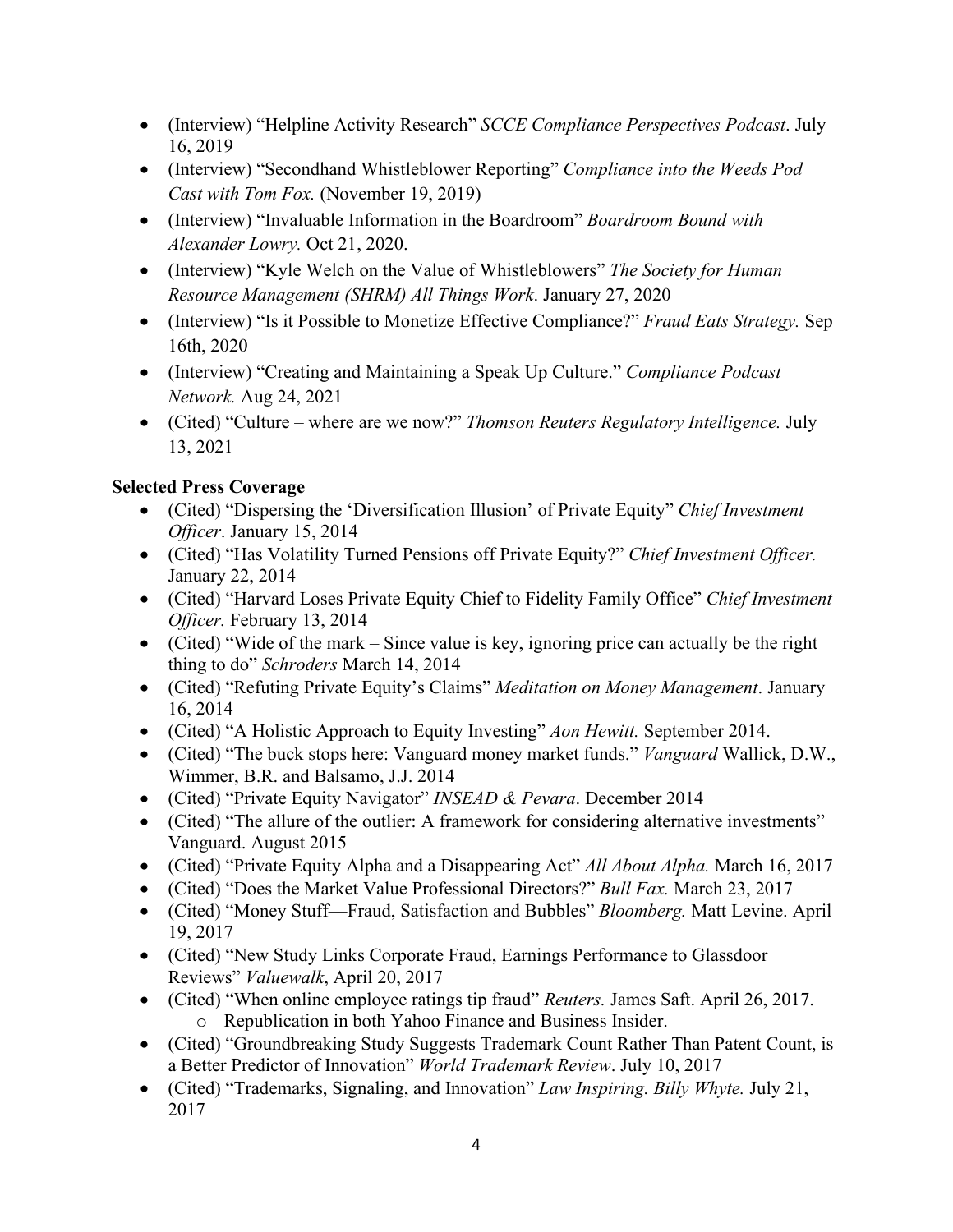- (Interview) "Helpline Activity Research" *SCCE Compliance Perspectives Podcast*. July 16, 2019
- (Interview) "Secondhand Whistleblower Reporting" *Compliance into the Weeds Pod Cast with Tom Fox.* (November 19, 2019)
- (Interview) "Invaluable Information in the Boardroom" *Boardroom Bound with Alexander Lowry.* Oct 21, 2020.
- (Interview) "Kyle Welch on the Value of Whistleblowers" *The Society for Human Resource Management (SHRM) All Things Work*. January 27, 2020
- (Interview) "Is it Possible to Monetize Effective Compliance?" *Fraud Eats Strategy.* Sep 16th, 2020
- (Interview) "Creating and Maintaining a Speak Up Culture." *Compliance Podcast Network.* Aug 24, 2021
- (Cited) "Culture where are we now?" *Thomson Reuters Regulatory Intelligence.* July 13, 2021

# **Selected Press Coverage**

- (Cited) "Dispersing the 'Diversification Illusion' of Private Equity" *Chief Investment Officer*. January 15, 2014
- (Cited) "Has Volatility Turned Pensions off Private Equity?" *Chief Investment Officer.* January 22, 2014
- (Cited) "Harvard Loses Private Equity Chief to Fidelity Family Office" *Chief Investment Officer.* February 13, 2014
- (Cited) "Wide of the mark Since value is key, ignoring price can actually be the right thing to do" *Schroders* March 14, 2014
- (Cited) "Refuting Private Equity's Claims" *Meditation on Money Management*. January 16, 2014
- (Cited) "A Holistic Approach to Equity Investing" *Aon Hewitt.* September 2014.
- (Cited) "The buck stops here: Vanguard money market funds." *Vanguard* Wallick, D.W., Wimmer, B.R. and Balsamo, J.J. 2014
- (Cited) "Private Equity Navigator" *INSEAD & Pevara*. December 2014
- (Cited) "The allure of the outlier: A framework for considering alternative investments" Vanguard. August 2015
- (Cited) "Private Equity Alpha and a Disappearing Act" *All About Alpha.* March 16, 2017
- (Cited) "Does the Market Value Professional Directors?" *Bull Fax.* March 23, 2017
- (Cited) "Money Stuff—Fraud, Satisfaction and Bubbles" *Bloomberg.* Matt Levine. April 19, 2017
- (Cited) "New Study Links Corporate Fraud, Earnings Performance to Glassdoor Reviews" *Valuewalk*, April 20, 2017
- (Cited) "When online employee ratings tip fraud" *Reuters.* James Saft. April 26, 2017. o Republication in both Yahoo Finance and Business Insider.
- (Cited) "Groundbreaking Study Suggests Trademark Count Rather Than Patent Count, is a Better Predictor of Innovation" *World Trademark Review*. July 10, 2017
- (Cited) "Trademarks, Signaling, and Innovation" *Law Inspiring. Billy Whyte.* July 21, 2017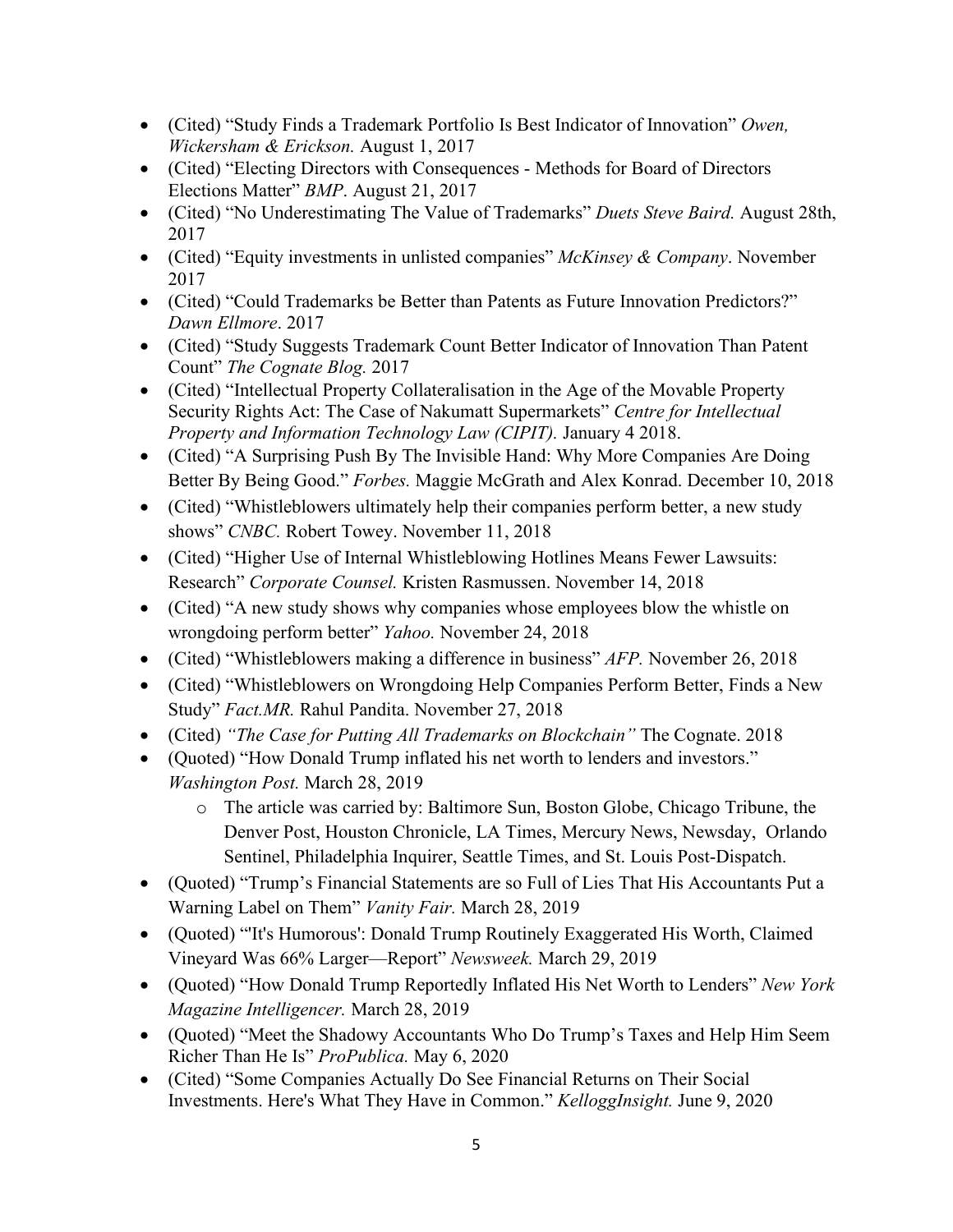- (Cited) "Study Finds a Trademark Portfolio Is Best Indicator of Innovation" *Owen, Wickersham & Erickson.* August 1, 2017
- (Cited) "Electing Directors with Consequences Methods for Board of Directors Elections Matter" *BMP*. August 21, 2017
- (Cited) "No Underestimating The Value of Trademarks" *Duets Steve Baird.* August 28th, 2017
- (Cited) "Equity investments in unlisted companies" *McKinsey & Company*. November 2017
- (Cited) "Could Trademarks be Better than Patents as Future Innovation Predictors?" *Dawn Ellmore*. 2017
- (Cited) "Study Suggests Trademark Count Better Indicator of Innovation Than Patent Count" *The Cognate Blog.* 2017
- (Cited) "Intellectual Property Collateralisation in the Age of the Movable Property Security Rights Act: The Case of Nakumatt Supermarkets" *Centre for Intellectual Property and Information Technology Law (CIPIT).* January 4 2018.
- (Cited) "A Surprising Push By The Invisible Hand: Why More Companies Are Doing Better By Being Good." *Forbes.* Maggie McGrath and Alex Konrad. December 10, 2018
- (Cited) "Whistleblowers ultimately help their companies perform better, a new study shows" *CNBC.* Robert Towey. November 11, 2018
- (Cited) "Higher Use of Internal Whistleblowing Hotlines Means Fewer Lawsuits: Research" *Corporate Counsel.* Kristen Rasmussen. November 14, 2018
- (Cited) "A new study shows why companies whose employees blow the whistle on wrongdoing perform better" *Yahoo.* November 24, 2018
- (Cited) "Whistleblowers making a difference in business" *AFP.* November 26, 2018
- (Cited) "Whistleblowers on Wrongdoing Help Companies Perform Better, Finds a New Study" *Fact.MR.* Rahul Pandita. November 27, 2018
- (Cited) *"The Case for Putting All Trademarks on Blockchain"* The Cognate. 2018
- (Quoted) "How Donald Trump inflated his net worth to lenders and investors." *Washington Post.* March 28, 2019
	- o The article was carried by: Baltimore Sun, Boston Globe, Chicago Tribune, the Denver Post, Houston Chronicle, LA Times, Mercury News, Newsday, Orlando Sentinel, Philadelphia Inquirer, Seattle Times, and St. Louis Post-Dispatch.
- (Quoted) "Trump's Financial Statements are so Full of Lies That His Accountants Put a Warning Label on Them" *Vanity Fair.* March 28, 2019
- (Quoted) "'It's Humorous': Donald Trump Routinely Exaggerated His Worth, Claimed Vineyard Was 66% Larger—Report" *Newsweek.* March 29, 2019
- (Quoted) "How Donald Trump Reportedly Inflated His Net Worth to Lenders" *New York Magazine Intelligencer.* March 28, 2019
- (Quoted) "Meet the Shadowy Accountants Who Do Trump's Taxes and Help Him Seem Richer Than He Is" *ProPublica.* May 6, 2020
- (Cited) "Some Companies Actually Do See Financial Returns on Their Social Investments. Here's What They Have in Common." *KelloggInsight.* June 9, 2020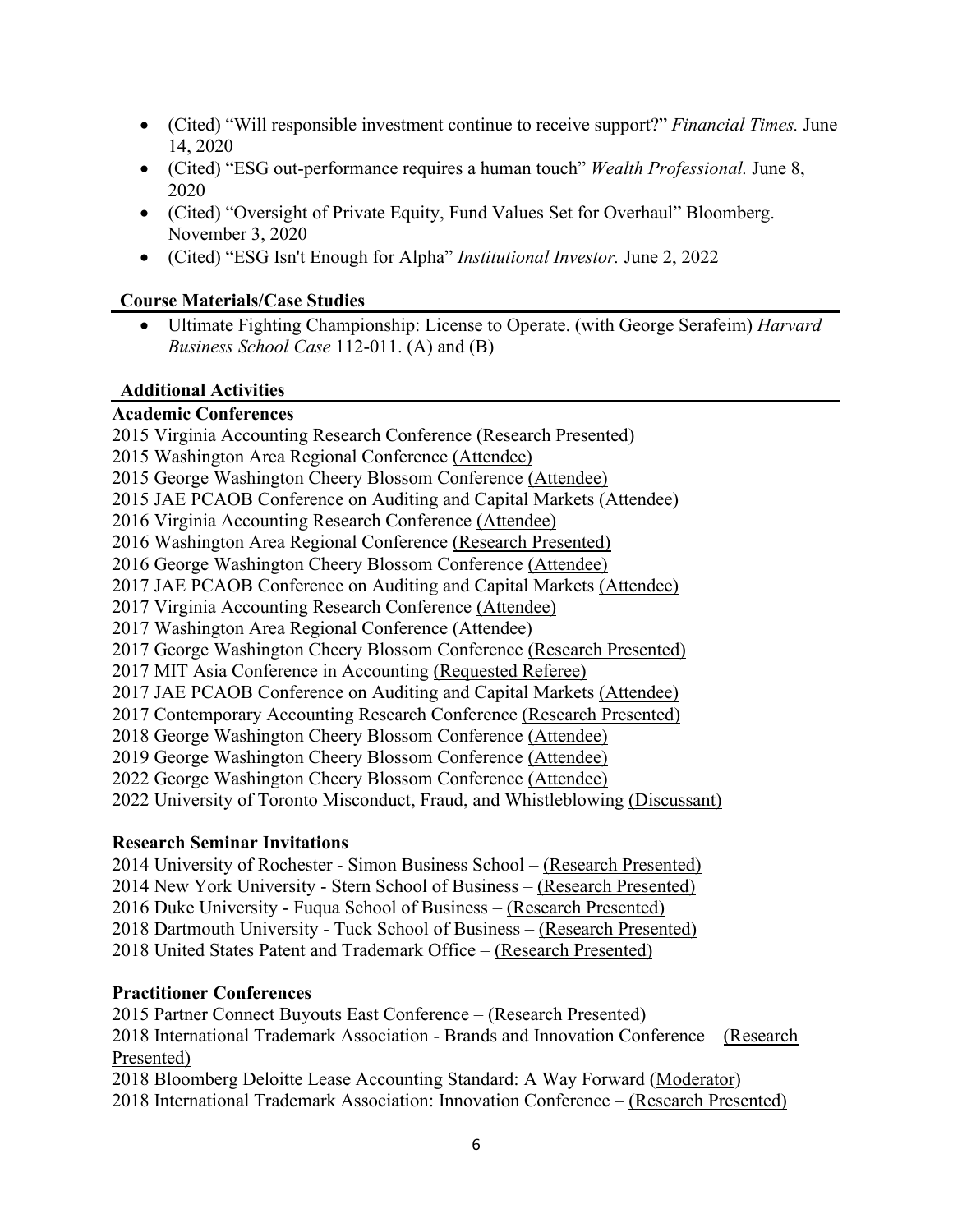- (Cited) "Will responsible investment continue to receive support?" *Financial Times.* June 14, 2020
- (Cited) "ESG out-performance requires a human touch" *Wealth Professional.* June 8, 2020
- (Cited) "Oversight of Private Equity, Fund Values Set for Overhaul" Bloomberg. November 3, 2020
- (Cited) "ESG Isn't Enough for Alpha" *Institutional Investor.* June 2, 2022

#### **Course Materials/Case Studies**

• Ultimate Fighting Championship: License to Operate. (with George Serafeim) *Harvard Business School Case* 112-011. (A) and (B)

#### **Additional Activities**

#### **Academic Conferences**

2015 Virginia Accounting Research Conference (Research Presented) 2015 Washington Area Regional Conference (Attendee) 2015 George Washington Cheery Blossom Conference (Attendee) 2015 JAE PCAOB Conference on Auditing and Capital Markets (Attendee) 2016 Virginia Accounting Research Conference (Attendee) 2016 Washington Area Regional Conference (Research Presented) 2016 George Washington Cheery Blossom Conference (Attendee) 2017 JAE PCAOB Conference on Auditing and Capital Markets (Attendee) 2017 Virginia Accounting Research Conference (Attendee) 2017 Washington Area Regional Conference (Attendee) 2017 George Washington Cheery Blossom Conference (Research Presented) 2017 MIT Asia Conference in Accounting (Requested Referee) 2017 JAE PCAOB Conference on Auditing and Capital Markets (Attendee) 2017 Contemporary Accounting Research Conference (Research Presented) 2018 George Washington Cheery Blossom Conference (Attendee) 2019 George Washington Cheery Blossom Conference (Attendee) 2022 George Washington Cheery Blossom Conference (Attendee) 2022 University of Toronto Misconduct, Fraud, and Whistleblowing (Discussant)

#### **Research Seminar Invitations**

2014 University of Rochester - Simon Business School – (Research Presented) 2014 New York University - Stern School of Business – (Research Presented) 2016 Duke University - Fuqua School of Business – (Research Presented) 2018 Dartmouth University - Tuck School of Business – (Research Presented) 2018 United States Patent and Trademark Office – (Research Presented)

#### **Practitioner Conferences**

2015 Partner Connect Buyouts East Conference – (Research Presented) 2018 International Trademark Association - Brands and Innovation Conference – (Research Presented) 2018 Bloomberg Deloitte Lease Accounting Standard: A Way Forward (Moderator)

2018 International Trademark Association: Innovation Conference – (Research Presented)